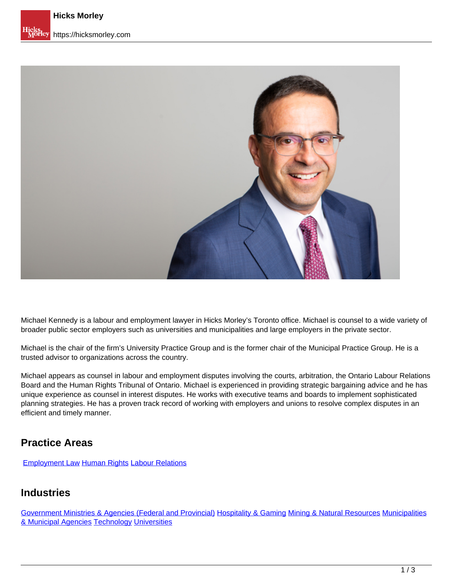

Michael Kennedy is a labour and employment lawyer in Hicks Morley's Toronto office. Michael is counsel to a wide variety of broader public sector employers such as universities and municipalities and large employers in the private sector.

Michael is the chair of the firm's University Practice Group and is the former chair of the Municipal Practice Group. He is a trusted advisor to organizations across the country.

Michael appears as counsel in labour and employment disputes involving the courts, arbitration, the Ontario Labour Relations Board and the Human Rights Tribunal of Ontario. Michael is experienced in providing strategic bargaining advice and he has unique experience as counsel in interest disputes. He works with executive teams and boards to implement sophisticated planning strategies. He has a proven track record of working with employers and unions to resolve complex disputes in an efficient and timely manner.

#### **Practice Areas**

[Employment Law](https://hicksmorley.com/expertise/employment-law) Human Rights Labour Relations

#### **Industries**

Government Ministries & Agencies (Federal and Provincial) Hospitality & Gaming Mining & Natural Resources Municipalities & Municipal Agencies Technology Universities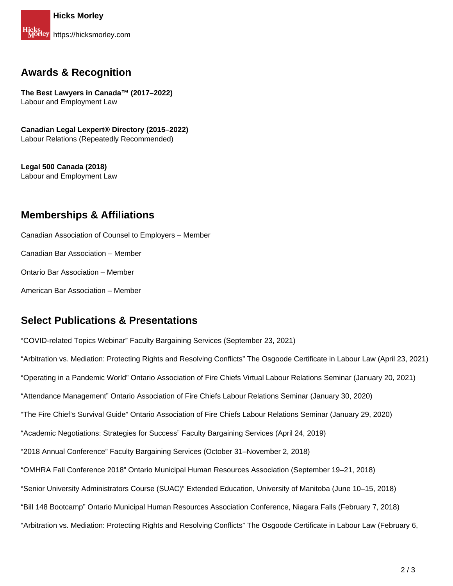## **Awards & Recognition**

**The Best Lawyers in Canada™ (2017–2022)** Labour and Employment Law

**Canadian Legal Lexpert® Directory (2015–2022)**  Labour Relations (Repeatedly Recommended)

**Legal 500 Canada (2018)** Labour and Employment Law

## **Memberships & Affiliations**

Canadian Association of Counsel to Employers – Member

Canadian Bar Association – Member

Ontario Bar Association – Member

American Bar Association – Member

## **Select Publications & Presentations**

"COVID-related Topics Webinar" Faculty Bargaining Services (September 23, 2021)

"Arbitration vs. Mediation: Protecting Rights and Resolving Conflicts" The Osgoode Certificate in Labour Law (April 23, 2021)

"Operating in a Pandemic World" Ontario Association of Fire Chiefs Virtual Labour Relations Seminar (January 20, 2021)

"Attendance Management" Ontario Association of Fire Chiefs Labour Relations Seminar (January 30, 2020)

"The Fire Chief's Survival Guide" Ontario Association of Fire Chiefs Labour Relations Seminar (January 29, 2020)

"Academic Negotiations: Strategies for Success" Faculty Bargaining Services (April 24, 2019)

"2018 Annual Conference" Faculty Bargaining Services (October 31–November 2, 2018)

"OMHRA Fall Conference 2018" Ontario Municipal Human Resources Association (September 19–21, 2018)

"Senior University Administrators Course (SUAC)" Extended Education, University of Manitoba (June 10–15, 2018)

"Bill 148 Bootcamp" Ontario Municipal Human Resources Association Conference, Niagara Falls (February 7, 2018)

"Arbitration vs. Mediation: Protecting Rights and Resolving Conflicts" The Osgoode Certificate in Labour Law (February 6,